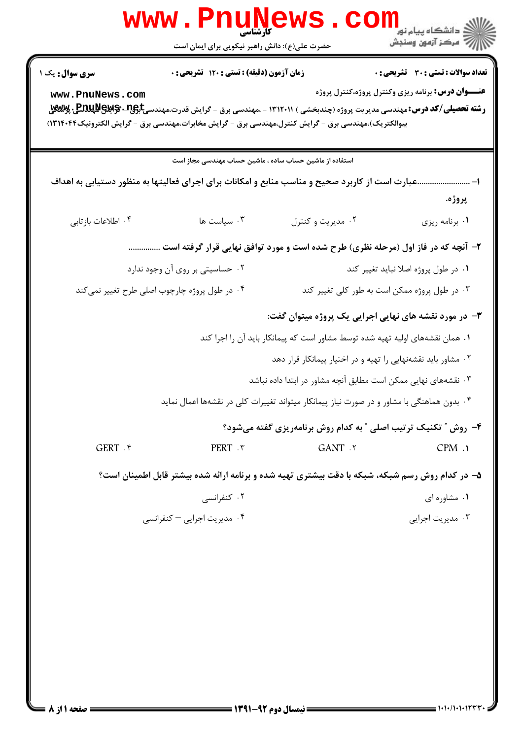|                                           | www.PnuNews.con<br>حضرت علی(ع): دانش راهبر نیکویی برای ایمان است                                                                                                                                                                                                                    |                                                                                                                                        | الاد دانشگاه پيام نور ■<br> /<br> //   مرکز آزمون وسنجش                                                   |
|-------------------------------------------|-------------------------------------------------------------------------------------------------------------------------------------------------------------------------------------------------------------------------------------------------------------------------------------|----------------------------------------------------------------------------------------------------------------------------------------|-----------------------------------------------------------------------------------------------------------|
| <b>سری سوال :</b> یک ۱<br>www.PnuNews.com | زمان آزمون (دقیقه) : تستی : ۱۲۰ تشریحی : ۰<br><b>رشته تحصیلی/کد درس:</b> مهندسی مدیریت پروژه (چندبخشی ) ۱۳۱۲۰۱۱ - ،مهندسی برق - گرایش قدرت،مهندسی#BAUNG پ <b>ME بِW</b> W پ<br>بیوالکتریک)،مهندسی برق - گرایش کنترل،مهندسی برق - گرایش مخابرات،مهندسی برق - گرایش الکترونیک۱۳۱۴۰۴۴) |                                                                                                                                        | <b>تعداد سوالات : تستی : 30 ٪ تشریحی : 0</b><br><b>عنـــوان درس:</b> برنامه ریزی وکنترل پروژه،کنترل پروژه |
|                                           | استفاده از ماشین حساب ساده ، ماشین حساب مهندسی مجاز است                                                                                                                                                                                                                             |                                                                                                                                        |                                                                                                           |
|                                           | عبارت است از کاربرد صحیح و مناسب منابع و امکانات برای اجرای فعالیتها به منظور دستیابی به اهداف                                                                                                                                                                                      |                                                                                                                                        | -1<br>پروژه.                                                                                              |
| ۰۴ اطلاعات بازتابي                        | سیاست ها $\cdot$                                                                                                                                                                                                                                                                    | ۰۲ مدیریت و کنترل                                                                                                                      | ٠١ برنامه ريزي                                                                                            |
|                                           | ۲- آنچه که در فاز اول (مرحله نظری) طرح شده است و مورد توافق نهایی قرار گرفته است                                                                                                                                                                                                    |                                                                                                                                        |                                                                                                           |
|                                           | ۰۲ حساسیتی بر روی آن وجود ندارد                                                                                                                                                                                                                                                     |                                                                                                                                        | ٠١ در طول پروژه اصلا نبايد تغيير كند                                                                      |
|                                           | ۰۴ در طول پروژه چارچوب اصلی طرح تغییر نمی کند                                                                                                                                                                                                                                       |                                                                                                                                        | ۰۳ در طول پروژه ممکن است به طور کلی <mark>تغ</mark> ییر کند                                               |
|                                           |                                                                                                                                                                                                                                                                                     | ۳- در مورد نقشه های نهایی اجرایی یک پروژه میتوان گفت:<br>۰۱ همان نقشههای اولیه تهیه شده توسط مشاور است که پیمانکار باید آن را اجرا کند |                                                                                                           |
|                                           |                                                                                                                                                                                                                                                                                     | ۰۲ مشاور باید نقشهنهایی را تهیه و در اختیار پیمانکار قرار دهد                                                                          |                                                                                                           |
|                                           |                                                                                                                                                                                                                                                                                     | ۰۳ نقشههای نهایی ممکن است مطابق آنچه مشاور در ابتدا داده نباشد                                                                         |                                                                                                           |
|                                           | ۰۴ بدون هماهنگی با مشاور و در صورت نیاز پیمانکار میتواند تغییرات کلی در نقشهها اعمال نماید                                                                                                                                                                                          |                                                                                                                                        |                                                                                                           |
|                                           |                                                                                                                                                                                                                                                                                     | ۴- روش ″ تکنیک ترتیب اصلی ″ به کدام روش برنامهریزی گفته میشود؟                                                                         |                                                                                                           |
| GERT . ۴                                  | PERT . ٣                                                                                                                                                                                                                                                                            | GANT .٢                                                                                                                                | CPM.                                                                                                      |
|                                           | ۵– در کدام روش رسم شبکه، شبکه با دقت بیشتری تهیه شده و برنامه ارائه شده بیشتر قابل اطمینان است؟                                                                                                                                                                                     |                                                                                                                                        |                                                                                                           |
|                                           | ۰۲ کنفرانسی                                                                                                                                                                                                                                                                         |                                                                                                                                        | ٠١ مشاوره ای                                                                                              |
|                                           | ۰۴ مدیریت اجرایی – کنفرانسی                                                                                                                                                                                                                                                         |                                                                                                                                        | ۰۳ مدیریت اجرای <i>ی</i>                                                                                  |
|                                           |                                                                                                                                                                                                                                                                                     |                                                                                                                                        |                                                                                                           |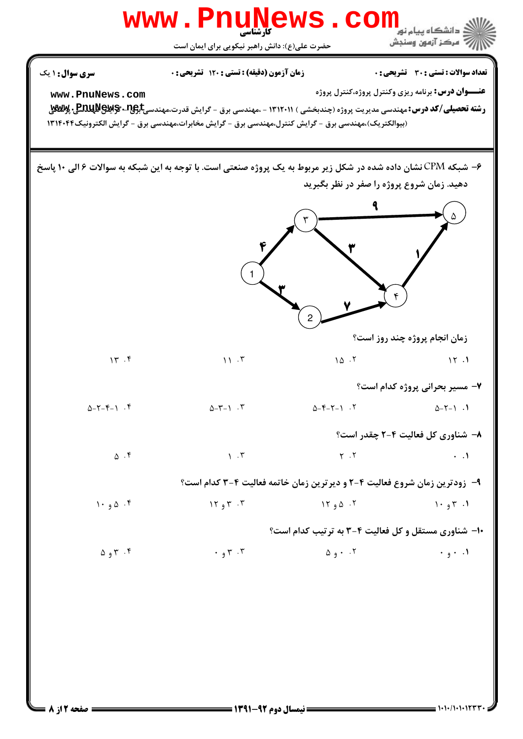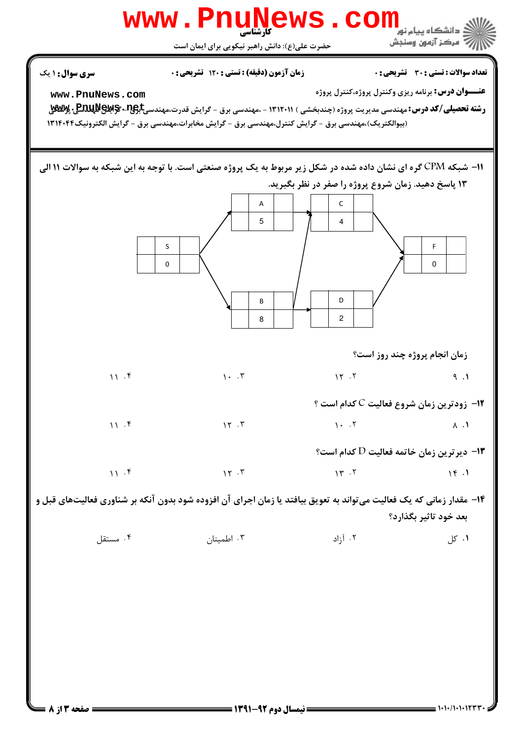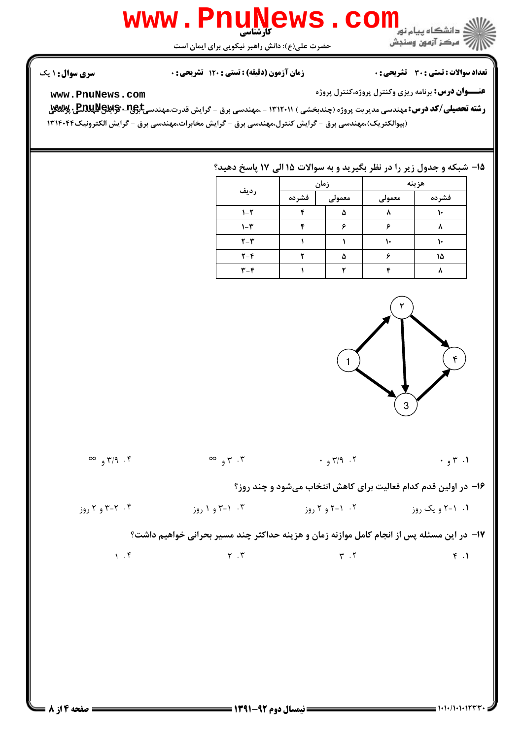## WWW.PnuNews.com

حضرت علی(ع): دانش راهبر نیکویی برای ایمان است

**تعداد سوالات : تستی : 30 ٪ تشریحی : 0** 

الآلاء مركز آزمون وسنجش

**زمان آزمون (دقیقه) : تستی : ۱۲۰ تشریحی: 0** 

**سری سوال : ۱ یک** 

**عنـــوان درس:** برنامه ریزی وکنترل پروژه،کنترل پروژه

www.PnuNews.com

**رشته تحصیلی/کد درس:**مهندسی مدیریت پروژه (چندبخشی ) ۱۳۱۲۰۱۱ - ،مهندسی برق - گرایش قدرت،مهندسی<del>Jیوی - Enu Mews ، پ</del> (بیوالکتریک)،مهندسی برق - گرایش کنترل،مهندسی برق - گرایش مخابرات،مهندسی برق - گرایش الکترونیک۱۳۱۴۰۴۴

## 15- شبکه و جدول زیر را در نظر بگیرید و به سوالات ۱۵ الی ۱۷ پاسخ دهید؟

| رديف                    | زمان  |        | هزينه  |       |  |
|-------------------------|-------|--------|--------|-------|--|
|                         | فشرده | معمولى | معمولى | فشرده |  |
| $1 - 5$                 | ×.    |        |        |       |  |
| $1-\mathcal{r}$         |       |        |        |       |  |
| $Y - Y$                 |       |        |        |       |  |
| $Y - Y$                 |       |        |        | ۱۵    |  |
| $\mathbf{r}-\mathbf{r}$ |       |        |        |       |  |



 $\infty$   $\infty$   $\infty$   $\infty$   $\infty$   $\infty$   $\infty$   $\infty$   $\infty$   $\infty$   $\infty$   $\infty$   $\infty$   $\infty$   $\infty$   $\infty$   $\infty$   $\infty$   $\infty$   $\infty$   $\infty$   $\infty$   $\infty$   $\infty$   $\infty$   $\infty$   $\infty$   $\infty$   $\infty$   $\infty$   $\infty$   $\infty$   $\infty$   $\infty$   $\infty$   $\infty$   $\infty$  $\cdot$  7  $\cdot$  7  $\cdot$  1 ۱۶- در اولین قدم کدام فعالیت برای کاهش انتخاب میشود و چند روز؟ ۰۱. ۱-۲ و یک روز ۲۰۰۱ <sup>- ۲</sup> و ۲ روز ۲۰۰۱ <sup>- ۳</sup> و ۱ روز ۲۰۰۱ <sup>- ۴</sup> و ۳ روز ۲ روز ۲۰۰۶ و ۲ روز ۱۷– در این مسئله پس از انجام کامل موازنه زمان و هزینه حداکثر چند مسیر بحرانی خواهیم داشت؟  $1.5$  $\gamma$ . $\gamma$  $Y \cdot Y$  $F.1$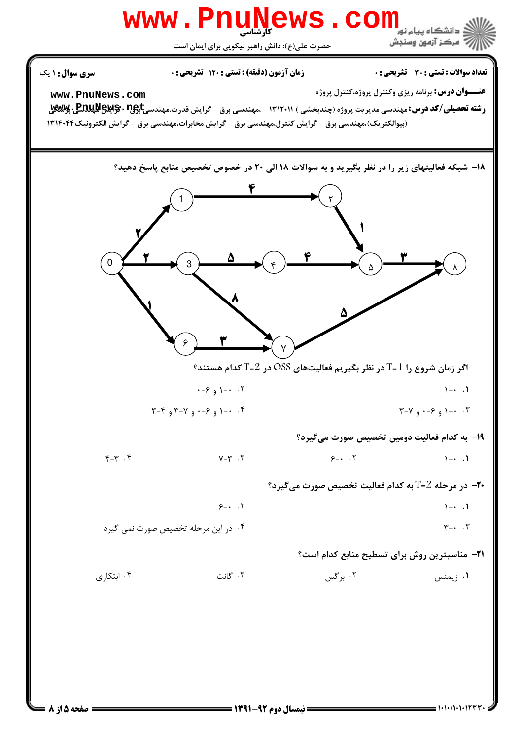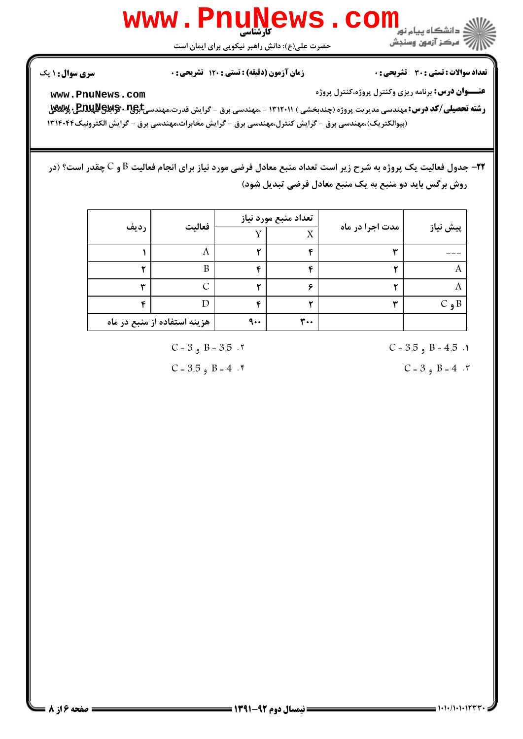

حضرت علی(ع): دانش راهبر نیکویی برای ایمان است

**تعداد سوالات : تستی : 30 ٪ تشریحی : 0** 

أأزأته مركز آزمون وسنجش

زمان آزمون (دقیقه) : تستی : 120 تشریحی: 0

**سری سوال : ۱ یک** 

**عنـــوان درس:** برنامه ریزی وکنترل پروژه،کنترل پروژه

www.PnuNews.com

**رشته تحصیلی/کد درس:**مهندسی مدیریت پروژه (چندبخشی ) ۱۳۱۲۰۱۱ - ،مهندسی برق - گرایش قدرت،مهندسی<del>Jیوی - Enu Mews ، پ</del> (بیوالکتریک)،مهندسی برق - گرایش کنترل،مهندسی برق - گرایش مخابرات،مهندسی برق - گرایش الکترونیک۱۳۱۴۰۴۴

**۲۲**– جدول فعالیت یک پروژه به شرح زیر است تعداد منبع معادل فرضی مورد نیاز برای انجام فعالیت B و C چقدر است؟ (در روش برگس باید دو منبع به یک منبع معادل فرضی تبدیل شود)

| فعاليت<br>رديف           |                              | تعداد منبع مورد نياز |     |                          |          |
|--------------------------|------------------------------|----------------------|-----|--------------------------|----------|
|                          |                              | v                    | X   | مدت اجرا در ماه          | پیش نیاز |
|                          | A                            |                      | €   | $\overline{\phantom{a}}$ |          |
|                          | B                            | ٠c                   | ٠c  |                          |          |
| $\overline{\phantom{a}}$ | ⌒                            |                      |     |                          |          |
|                          |                              | ٠c                   |     |                          | $C_9B$   |
|                          | هزینه استفاده از منبع در ماه | $\mathbf{a}$ .       | ٣.٠ |                          |          |

 $C = 3$ ,  $B = 3.5$ .

 $C = 3.5$ ,  $B = 4$ .

 $C = 3.5$ ,  $B = 4.5$ .

 $C = 3$ ,  $B = 4$ . ٣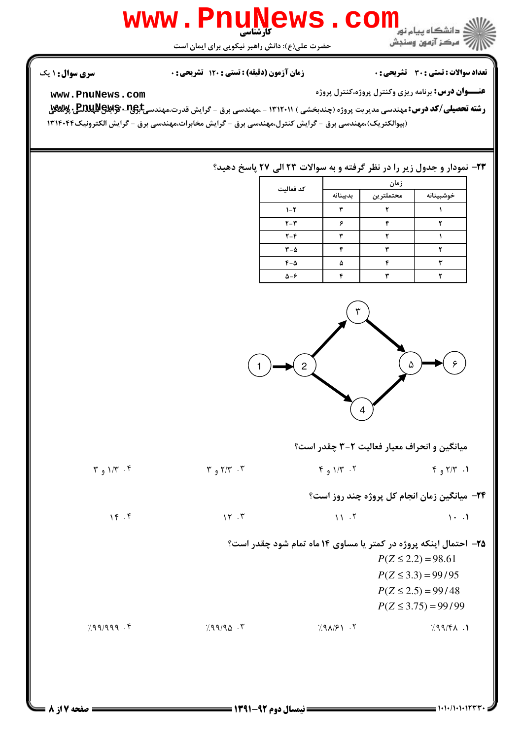## كارشناسي **[www.PnuNews.com](http://pnunews.com)**

حضرت علي(ع): دانش راهبر نيكويي براي ايمان است

ر *-* مرڪز آزمون وسنڊش

نعداد سوالات : تستي : 30 - تشريحي : . زمان آزمون (دقيقه) : تستي : 120 - تشريحي : . سري سوال : 1 يك

**عنـــوان درس:** برنامه ريزي وكنترل پروژه،كنترل پروژه

**[www.PnuNews.com](http://pnunews.com)**

ر**شته تحصیلی/کد درس: مهندسی مدیریت پروژه (چندبخشی ) ۱۳۱۲۰۱۱ - مهندسی برق - گرایش قدرت،مهندسی<del>]بِ</del>Bau »Bay و پس** (بیوالکتریک)،مهندسی برق - گرایش کنترل،مهندسی برق - گرایش مخابرات،مهندسی برق - گرایش الکترونیک۱۳۱۴۰۴۴

## **۲۳**- نمودار و جدول زیر را در نظر گرفته و به سوالات ۲۳ الی ۲۷ پاسخ دهید؟

| كد فعاليت          | زمان     |           |           |  |
|--------------------|----------|-----------|-----------|--|
|                    | بدبينانه | محتملترين | خوشبينانه |  |
| $1 - 1$            |          |           |           |  |
| $Y - Y$            |          |           |           |  |
| $Y - F$            | ىپ       |           |           |  |
| $r-\Delta$         | c        |           |           |  |
| $F-\Delta$         | ۵        |           |           |  |
| $\Delta - \hat{z}$ | ٠c       |           |           |  |



میانگین و انحراف معیار فعالیت ۲-۳ چقدر است؟

1. ٢/٣ و ٣ م - ٢/٣ و ٣ م - ٣ - ٢/٣ و ٣ م - ٢/٣ و ٣ م - ٢/٣ و ٣ م - ٢/٣ و ٣ **۲۴**- میانگین زمان انجام کل پروژه چند روز است؟  $M \cdot F$  17 M  $M \cdot T$  11 M  $M \cdot T$  $+$  .  $+$  .  $+$  .  $+$  .  $+$  .  $+$  .  $+$  .  $+$  .  $+$  .  $+$  .  $+$  .  $+$  .  $+$  .  $+$  .  $+$  .  $+$  .  $+$  .  $+$  .  $+$  .  $+$  .  $+$  .  $+$  .  $+$  .  $+$  .  $+$  .  $+$  .  $+$  .  $+$  .  $+$  .  $+$  .  $+$  .  $+$  .  $+$  .  $+$  .  $+$  .  $+$  .  $+$  . **۲۵**- احتمال اینکه پروژه در کمتر یا مساوی ۱۴ ماه تمام شود چقدر است؟  $P(Z \le 3.3) = 99/95$  $P(Z \le 2.2) = 98.61$ 

 $P(Z \leq 3.75) = 99/99$  $P(Z \le 2.5) = 99/48$ 

%QQ/QQQ %QQ/QN eQR/WM %QQ/ R + . . . .